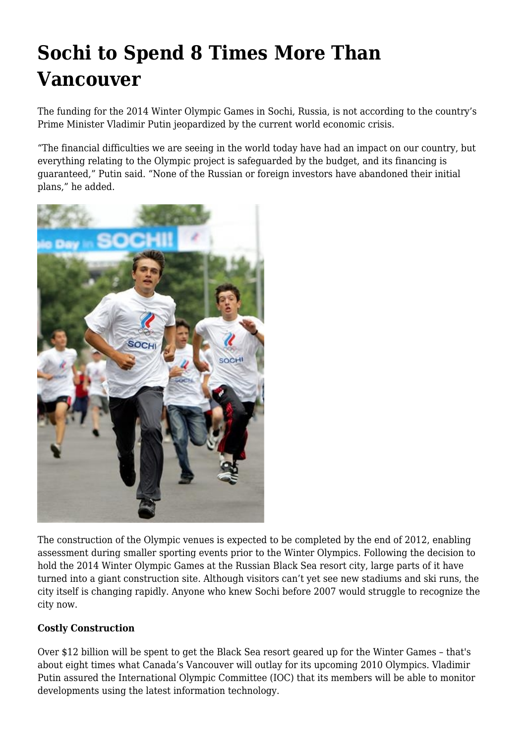## **Sochi to Spend 8 Times More Than Vancouver**

The funding for the 2014 Winter Olympic Games in Sochi, Russia, is not according to the country's Prime Minister Vladimir Putin jeopardized by the current world economic crisis.

"The financial difficulties we are seeing in the world today have had an impact on our country, but everything relating to the Olympic project is safeguarded by the budget, and its financing is guaranteed," Putin said. "None of the Russian or foreign investors have abandoned their initial plans," he added.



The construction of the Olympic venues is expected to be completed by the end of 2012, enabling assessment during smaller sporting events prior to the Winter Olympics. Following the decision to hold the 2014 Winter Olympic Games at the Russian Black Sea resort city, large parts of it have turned into a giant construction site. Although visitors can't yet see new stadiums and ski runs, the city itself is changing rapidly. Anyone who knew Sochi before 2007 would struggle to recognize the city now.

## **Costly Construction**

Over \$12 billion will be spent to get the Black Sea resort geared up for the Winter Games – that's about eight times what Canada's Vancouver will outlay for its upcoming 2010 Olympics. Vladimir Putin assured the International Olympic Committee (IOC) that its members will be able to monitor developments using the latest information technology.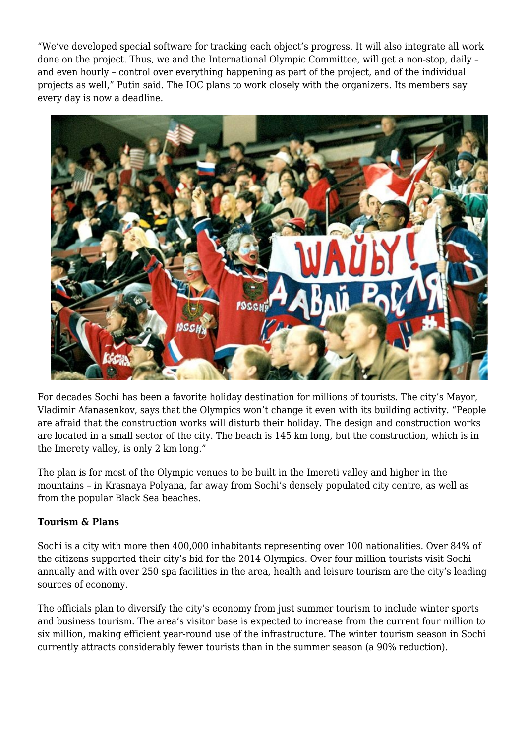"We've developed special software for tracking each object's progress. It will also integrate all work done on the project. Thus, we and the International Olympic Committee, will get a non-stop, daily – and even hourly – control over everything happening as part of the project, and of the individual projects as well," Putin said. The IOC plans to work closely with the organizers. Its members say every day is now a deadline.



For decades Sochi has been a favorite holiday destination for millions of tourists. The city's Mayor, Vladimir Afanasenkov, says that the Olympics won't change it even with its building activity. "People are afraid that the construction works will disturb their holiday. The design and construction works are located in a small sector of the city. The beach is 145 km long, but the construction, which is in the Imerety valley, is only 2 km long."

The plan is for most of the Olympic venues to be built in the Imereti valley and higher in the mountains – in Krasnaya Polyana, far away from Sochi's densely populated city centre, as well as from the popular Black Sea beaches.

## **Tourism & Plans**

Sochi is a city with more then 400,000 inhabitants representing over 100 nationalities. Over 84% of the citizens supported their city's bid for the 2014 Olympics. Over four million tourists visit Sochi annually and with over 250 spa facilities in the area, health and leisure tourism are the city's leading sources of economy.

The officials plan to diversify the city's economy from just summer tourism to include winter sports and business tourism. The area's visitor base is expected to increase from the current four million to six million, making efficient year-round use of the infrastructure. The winter tourism season in Sochi currently attracts considerably fewer tourists than in the summer season (a 90% reduction).